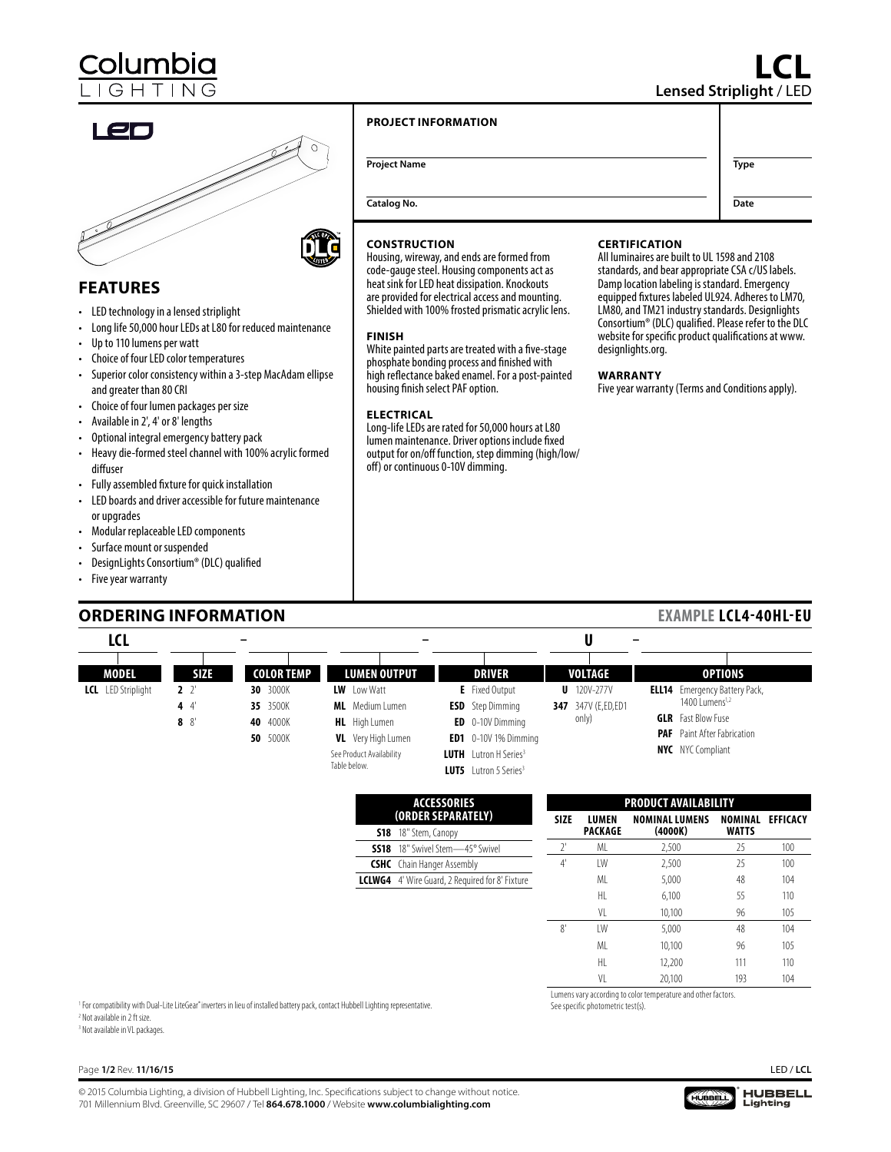**LCL Lensed Striplight** / LED

**Date**





# **FEATURES**

- LED technology in a lensed striplight
- Long life 50,000 hour LEDs at L80 for reduced maintenance
- Up to 110 lumens per watt
- Choice of four LED color temperatures
- Superior color consistency within a 3-step MacAdam ellipse and greater than 80 CRI
- Choice of four lumen packages per size • Available in 2', 4' or 8' lengths
- Optional integral emergency battery pack
- Heavy die-formed steel channel with 100% acrylic formed diffuser
- Fully assembled fixture for quick installation
- LED boards and driver accessible for future maintenance or upgrades
- Modular replaceable LED components
- Surface mount or suspended
- DesignLights Consortium® (DLC) qualified
- Five year warranty

# **ORDERING INFORMATION**

### **PROJECT INFORMATION**

**Project Name Type** 

**Catalog No.**



Housing, wireway, and ends are formed from code-gauge steel. Housing components act as heat sink for LED heat dissipation. Knockouts are provided for electrical access and mounting. Shielded with 100% frosted prismatic acrylic lens.

### **FINISH**

White painted parts are treated with a five-stage phosphate bonding process and finished with high reflectance baked enamel. For a post-painted housing finish select PAF option.

### **ELECTRICAL**

Long-life LEDs are rated for 50,000 hours at L80 lumen maintenance. Driver options include fixed output for on/off function, step dimming (high/low/ off) or continuous 0-10V dimming.

### **CERTIFICATION**

All luminaires are built to UL 1598 and 2108 standards, and bear appropriate CSA c/US labels. Damp location labeling is standard. Emergency equipped fixtures labeled UL924. Adheres to LM70, LM80, and TM21 industry standards. Designlights Consortium® (DLC) qualified. Please refer to the DLC website for specific product qualifications at www. designlights.org.

### **WARRANTY**

Five year warranty (Terms and Conditions apply).

## **EXAMPLE LCL4-40HL-EU**

| LCL                       |             |                   | -                         |                                          | $\overline{\phantom{0}}$ |                                      |
|---------------------------|-------------|-------------------|---------------------------|------------------------------------------|--------------------------|--------------------------------------|
| <b>MODEL</b>              | <b>SIZE</b> | <b>COLOR TEMP</b> | <b>LUMEN OUTPUT</b>       | <b>DRIVER</b>                            | <b>VOLTAGE</b>           | <b>OPTIONS</b>                       |
| <b>LCL</b> LED Striplight | $2^{2}$     | 30 3000K          | <b>LW</b> Low Watt        | <b>E</b> Fixed Output                    | $U$ 120V-277V            | <b>ELL14</b> Emergency Battery Pack, |
|                           | 4 $4$       | 35 3500K          | <b>ML</b> Medium Lumen    | <b>ESD</b> Step Dimming                  | 347 347V (E,ED,ED1       | 1400 Lumens <sup>1,2</sup>           |
|                           | $8 \t8$     | 40 4000K          | <b>HL</b> High Lumen      | <b>ED</b> 0-10V Dimming                  | only)                    | <b>GLR</b> Fast Blow Fuse            |
|                           |             | 50 5000K          | <b>VL</b> Very High Lumen | <b>ED1</b> $0-10V$ 1% Dimming            |                          | <b>PAF</b> Paint After Fabrication   |
|                           |             |                   | See Product Availability  | <b>LUTH</b> Lutron H Series <sup>3</sup> |                          | <b>NYC</b> NYC Compliant             |
|                           |             |                   | Table below.              | <b>LUT5</b> Lutron 5 Series <sup>3</sup> |                          |                                      |

| <b>ACCESSORIES</b><br>(ORDER SEPARATELY) |                                                        |  |
|------------------------------------------|--------------------------------------------------------|--|
|                                          | <b>S18</b> 18" Stem, Canopy                            |  |
|                                          | <b>SS18</b> 18" Swivel Stem-45° Swivel                 |  |
| <b>CSHC</b> Chain Hanger Assembly        |                                                        |  |
|                                          | <b>LCLWG4</b> 4' Wire Guard, 2 Required for 8' Fixture |  |

| <b>PRODUCT AVAILABILITY</b> |                  |                                  |                         |                 |
|-----------------------------|------------------|----------------------------------|-------------------------|-----------------|
| <b>SIZE</b>                 | LUMEN<br>PACKAGE | <b>NOMINAL LUMENS</b><br>(4000K) | NOMINAL<br><b>WATTS</b> | <b>EFFICACY</b> |
| $2^{\circ}$                 | ML               | 2,500                            | 25                      | 100             |
| $4^{\circ}$                 | IW               | 2,500                            | 25                      | 100             |
|                             | MI               | 5.000                            | 48                      | 104             |
|                             | HI.              | 6.100                            | 55                      | 110             |
|                             | VI               | 10,100                           | 96                      | 105             |
| 8'                          | IW               | 5.000                            | 48                      | 104             |
|                             | MI               | 10.100                           | 96                      | 105             |
|                             | HL.              | 12.200                           | 111                     | 110             |
|                             | ٧I               | 20.100                           | 193                     | 104             |

<sup>1</sup> For compatibility with Dual-Lite LiteGear®inverters in lieu of installed battery pack, contact Hubbell Lighting representative.<br><sup>2</sup> Not available in 2 ft size <sup>2</sup> Not available in 2 ft size. 3 Not available in VL packages.

Lumens vary according to color temperature and other factors.

See specific photometric test(s).

# Page **1/2** Rev. **11/16/15**

© 2015 Columbia Lighting, a division of Hubbell Lighting, Inc. Specifications subject to change without notice. 701 Millennium Blvd. Greenville, SC 29607 / Tel **864.678.1000** / Website **www.columbialighting.com**